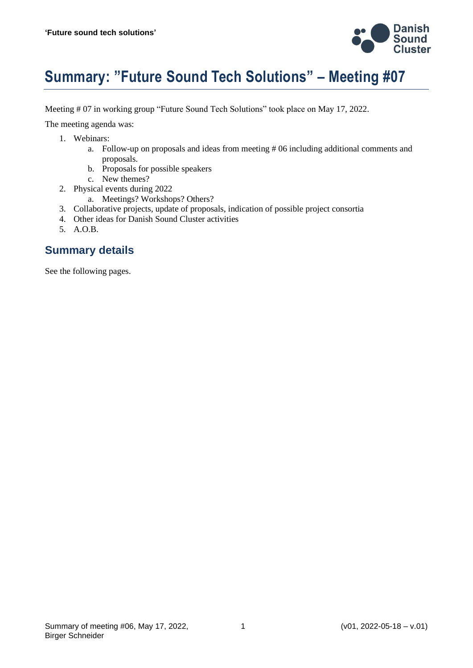

# **Summary: "Future Sound Tech Solutions" – Meeting #07**

Meeting # 07 in working group "Future Sound Tech Solutions" took place on May 17, 2022.

The meeting agenda was:

- 1. Webinars:
	- a. Follow-up on proposals and ideas from meeting # 06 including additional comments and proposals.
	- b. Proposals for possible speakers
	- c. New themes?
- 2. Physical events during 2022
	- a. Meetings? Workshops? Others?
- 3. Collaborative projects, update of proposals, indication of possible project consortia
- 4. Other ideas for Danish Sound Cluster activities
- 5. A.O.B.

#### **Summary details**

See the following pages.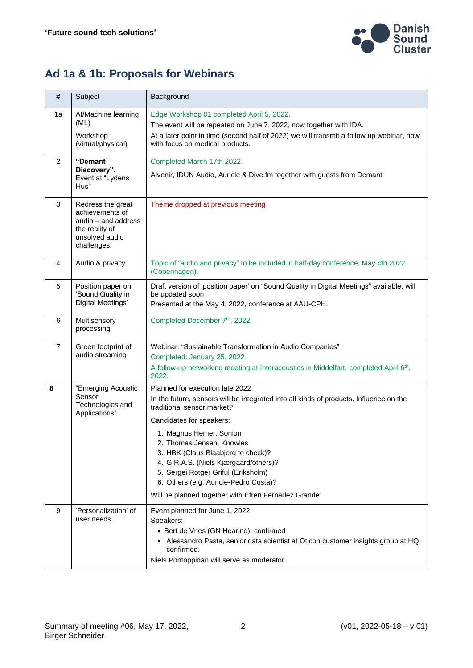

## **Ad 1a & 1b: Proposals for Webinars**

| #  | Subject                                                                                                        | Background                                                                                                                                                                                                                                                                                                                                                                                                                                                        |
|----|----------------------------------------------------------------------------------------------------------------|-------------------------------------------------------------------------------------------------------------------------------------------------------------------------------------------------------------------------------------------------------------------------------------------------------------------------------------------------------------------------------------------------------------------------------------------------------------------|
| 1a | Al/Machine learning<br>(ML)<br>Workshop<br>(virtual/physical)                                                  | Edge Workshop 01 completed April 5, 2022.<br>The event will be repeated on June 7, 2022, now together with IDA.<br>At a later point in time (second half of 2022) we will transmit a follow up webinar, now<br>with focus on medical products.                                                                                                                                                                                                                    |
| 2  | "Demant<br>Discovery".<br>Event at "Lydens<br>Hus"                                                             | Completed March 17th 2022.<br>Alvenir, IDUN Audio, Auricle & Dive.fm together with guests from Demant                                                                                                                                                                                                                                                                                                                                                             |
| 3  | Redress the great<br>achievements of<br>audio - and address<br>the reality of<br>unsolved audio<br>challenges. | Theme dropped at previous meeting                                                                                                                                                                                                                                                                                                                                                                                                                                 |
| 4  | Audio & privacy                                                                                                | Topic of "audio and privacy" to be included in half-day conference, May 4th 2022<br>(Copenhagen).                                                                                                                                                                                                                                                                                                                                                                 |
| 5  | Position paper on<br>'Sound Quality in<br>Digital Meetings'                                                    | Draft version of 'position paper' on "Sound Quality in Digital Meetings" available, will<br>be updated soon<br>Presented at the May 4, 2022, conference at AAU-CPH.                                                                                                                                                                                                                                                                                               |
| 6  | Multisensory<br>processing                                                                                     | Completed December 7 <sup>th</sup> , 2022                                                                                                                                                                                                                                                                                                                                                                                                                         |
| 7  | Green footprint of<br>audio streaming                                                                          | Webinar: "Sustainable Transformation in Audio Companies"<br>Completed: January 25, 2022<br>A follow-up networking meeting at Interacoustics in Middelfart. completed April 6 <sup>th</sup> ,<br>2022,                                                                                                                                                                                                                                                             |
| 8  | "Emerging Acoustic<br>Sensor<br>Technologies and<br>Applications"                                              | Planned for execution late 2022<br>In the future, sensors will be integrated into all kinds of products. Influence on the<br>traditional sensor market?<br>Candidates for speakers:<br>1. Magnus Hemer, Sonion<br>2. Thomas Jensen, Knowles<br>3. HBK (Claus Blaabjerg to check)?<br>4. G.R.A.S. (Niels Kjærgaard/others)?<br>5. Sergei Rotger Griful (Eriksholm)<br>6. Others (e.g. Auricle-Pedro Costa)?<br>Will be planned together with Efren Fernadez Grande |
| 9  | 'Personalization' of<br>user needs                                                                             | Event planned for June 1, 2022<br>Speakers:<br>• Bert de Vries (GN Hearing), confirmed<br>• Alessandro Pasta, senior data scientist at Oticon customer insights group at HQ,<br>confirmed.<br>Niels Pontoppidan will serve as moderator.                                                                                                                                                                                                                          |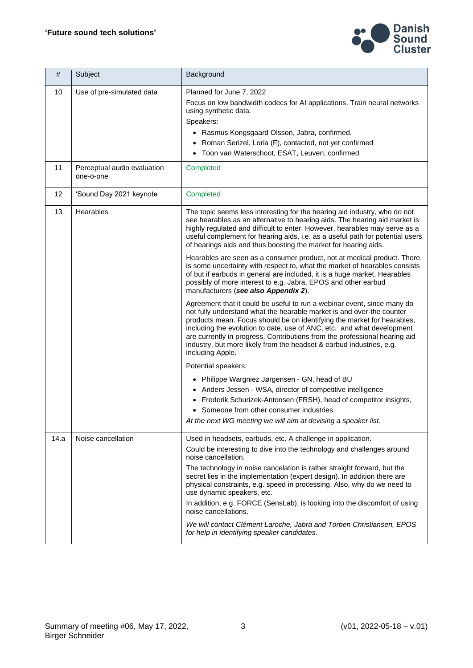

| #    | Subject                                  | Background                                                                                                                                                                                                                                                                                                                                                                                                                                                                                                                                                                                                                                                                                                                                                                                                                                                                                                                                                                                                                                                                                                                                                                                                                                                                                                                                                                                                                                                                                                                                                |
|------|------------------------------------------|-----------------------------------------------------------------------------------------------------------------------------------------------------------------------------------------------------------------------------------------------------------------------------------------------------------------------------------------------------------------------------------------------------------------------------------------------------------------------------------------------------------------------------------------------------------------------------------------------------------------------------------------------------------------------------------------------------------------------------------------------------------------------------------------------------------------------------------------------------------------------------------------------------------------------------------------------------------------------------------------------------------------------------------------------------------------------------------------------------------------------------------------------------------------------------------------------------------------------------------------------------------------------------------------------------------------------------------------------------------------------------------------------------------------------------------------------------------------------------------------------------------------------------------------------------------|
| 10   | Use of pre-simulated data                | Planned for June 7, 2022<br>Focus on low bandwidth codecs for AI applications. Train neural networks<br>using synthetic data.<br>Speakers:<br>• Rasmus Kongsgaard Olsson, Jabra, confirmed.<br>• Roman Serizel, Loria (F), contacted, not yet confirmed<br>• Toon van Waterschoot, ESAT, Leuven, confirmed                                                                                                                                                                                                                                                                                                                                                                                                                                                                                                                                                                                                                                                                                                                                                                                                                                                                                                                                                                                                                                                                                                                                                                                                                                                |
| 11   | Perceptual audio evaluation<br>one-o-one | Completed                                                                                                                                                                                                                                                                                                                                                                                                                                                                                                                                                                                                                                                                                                                                                                                                                                                                                                                                                                                                                                                                                                                                                                                                                                                                                                                                                                                                                                                                                                                                                 |
| 12   | 'Sound Day 2021 keynote                  | Completed                                                                                                                                                                                                                                                                                                                                                                                                                                                                                                                                                                                                                                                                                                                                                                                                                                                                                                                                                                                                                                                                                                                                                                                                                                                                                                                                                                                                                                                                                                                                                 |
| 13   | Hearables                                | The topic seems less interesting for the hearing aid industry, who do not<br>see hearables as an alternative to hearing aids. The hearing aid market is<br>highly regulated and difficult to enter. However, hearables may serve as a<br>useful complement for hearing aids. i.e. as a useful path for potential users<br>of hearings aids and thus boosting the market for hearing aids.<br>Hearables are seen as a consumer product, not at medical product. There<br>is some uncertainty with respect to, what the market of hearables consists<br>of but if earbuds in general are included, it is a huge market. Hearables<br>possibly of more interest to e.g. Jabra, EPOS and other earbud<br>manufacturers (see also Appendix 2).<br>Agreement that it could be useful to run a webinar event, since many do<br>not fully understand what the hearable market is and over-the counter<br>products mean. Focus should be on identifying the market for hearables,<br>including the evolution to date, use of ANC, etc. and what development<br>are currently in progress. Contributions from the professional hearing aid<br>industry, but more likely from the headset & earbud industries, e.g.<br>including Apple.<br>Potential speakers:<br>• Philippe Wargniez Jørgensen - GN, head of BU<br>• Anders Jessen - WSA, director of competitive intelligence<br>• Frederik Schurizek-Antonsen (FRSH), head of competitor insights,<br>• Someone from other consumer industries.<br>At the next WG meeting we will aim at devising a speaker list. |
| 14.a | Noise cancellation                       | Used in headsets, earbuds, etc. A challenge in application.<br>Could be interesting to dive into the technology and challenges around<br>noise cancellation.<br>The technology in noise cancelation is rather straight forward, but the<br>secret lies in the implementation (expert design). In addition there are<br>physical constraints, e.g. speed in processing. Also, why do we need to<br>use dynamic speakers, etc.<br>In addition, e.g. FORCE (SensLab), is looking into the discomfort of using<br>noise cancellations.<br>We will contact Clément Laroche, Jabra and Torben Christiansen, EPOS<br>for help in identifying speaker candidates.                                                                                                                                                                                                                                                                                                                                                                                                                                                                                                                                                                                                                                                                                                                                                                                                                                                                                                 |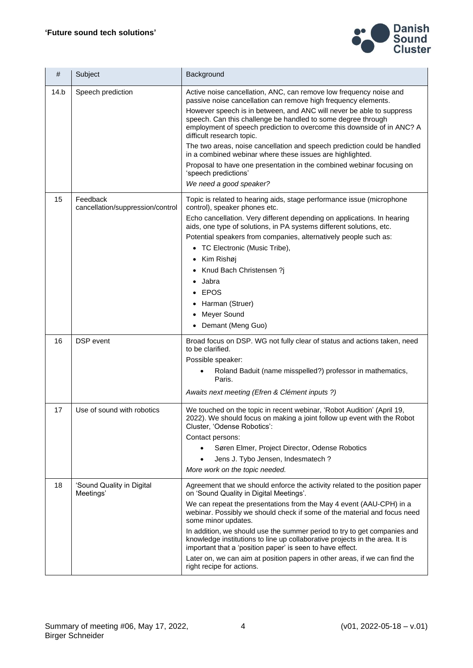

| #    | Subject                                      | Background                                                                                                                                                                                                                                                                                                                                                                                                                                                                                                                                                                                                                                               |
|------|----------------------------------------------|----------------------------------------------------------------------------------------------------------------------------------------------------------------------------------------------------------------------------------------------------------------------------------------------------------------------------------------------------------------------------------------------------------------------------------------------------------------------------------------------------------------------------------------------------------------------------------------------------------------------------------------------------------|
| 14.b | Speech prediction                            | Active noise cancellation, ANC, can remove low frequency noise and<br>passive noise cancellation can remove high frequency elements.<br>However speech is in between, and ANC will never be able to suppress<br>speech. Can this challenge be handled to some degree through<br>employment of speech prediction to overcome this downside of in ANC? A<br>difficult research topic.<br>The two areas, noise cancellation and speech prediction could be handled<br>in a combined webinar where these issues are highlighted.<br>Proposal to have one presentation in the combined webinar focusing on<br>'speech predictions'<br>We need a good speaker? |
| 15   | Feedback<br>cancellation/suppression/control | Topic is related to hearing aids, stage performance issue (microphone<br>control), speaker phones etc.<br>Echo cancellation. Very different depending on applications. In hearing<br>aids, one type of solutions, in PA systems different solutions, etc.<br>Potential speakers from companies, alternatively people such as:<br>• TC Electronic (Music Tribe),<br>• Kim Rishøj<br>Knud Bach Christensen ?j<br>Jabra<br><b>EPOS</b><br>Harman (Struer)<br>Meyer Sound<br>Demant (Meng Guo)<br>$\bullet$                                                                                                                                                  |
| 16   | DSP event                                    | Broad focus on DSP. WG not fully clear of status and actions taken, need<br>to be clarified.<br>Possible speaker:<br>Roland Baduit (name misspelled?) professor in mathematics,<br>Paris.<br>Awaits next meeting (Efren & Clément inputs ?)                                                                                                                                                                                                                                                                                                                                                                                                              |
| 17   | Use of sound with robotics                   | We touched on the topic in recent webinar, 'Robot Audition' (April 19,<br>2022). We should focus on making a joint follow up event with the Robot<br>Cluster, 'Odense Robotics':<br>Contact persons:<br>Søren Elmer, Project Director, Odense Robotics<br>Jens J. Tybo Jensen, Indesmatech?<br>More work on the topic needed.                                                                                                                                                                                                                                                                                                                            |
| 18   | 'Sound Quality in Digital<br>Meetings'       | Agreement that we should enforce the activity related to the position paper<br>on 'Sound Quality in Digital Meetings'.<br>We can repeat the presentations from the May 4 event (AAU-CPH) in a<br>webinar. Possibly we should check if some of the material and focus need<br>some minor updates.<br>In addition, we should use the summer period to try to get companies and<br>knowledge institutions to line up collaborative projects in the area. It is<br>important that a 'position paper' is seen to have effect.<br>Later on, we can aim at position papers in other areas, if we can find the<br>right recipe for actions.                      |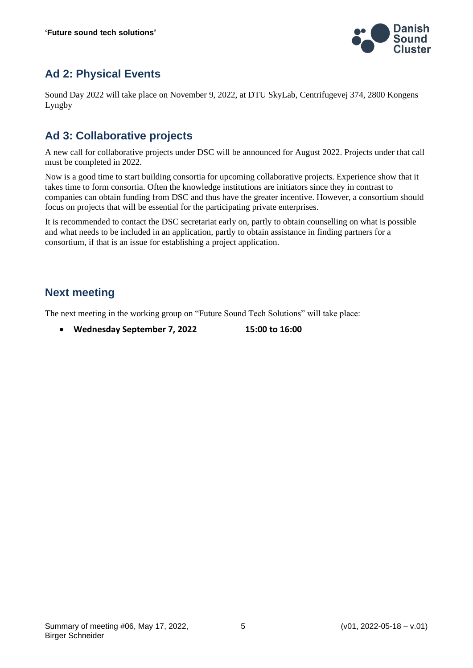

### **Ad 2: Physical Events**

Sound Day 2022 will take place on November 9, 2022, at DTU SkyLab, Centrifugevej 374, 2800 Kongens Lyngby

#### **Ad 3: Collaborative projects**

A new call for collaborative projects under DSC will be announced for August 2022. Projects under that call must be completed in 2022.

Now is a good time to start building consortia for upcoming collaborative projects. Experience show that it takes time to form consortia. Often the knowledge institutions are initiators since they in contrast to companies can obtain funding from DSC and thus have the greater incentive. However, a consortium should focus on projects that will be essential for the participating private enterprises.

It is recommended to contact the DSC secretariat early on, partly to obtain counselling on what is possible and what needs to be included in an application, partly to obtain assistance in finding partners for a consortium, if that is an issue for establishing a project application.

#### **Next meeting**

The next meeting in the working group on "Future Sound Tech Solutions" will take place:

• **Wednesday September 7, 2022 15:00 to 16:00**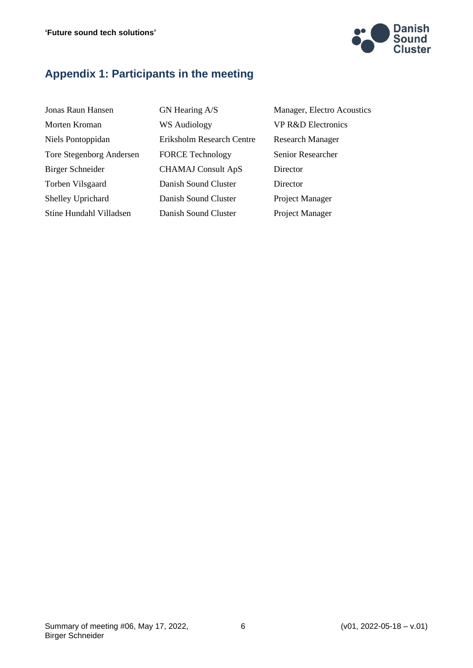

#### **Appendix 1: Participants in the meeting**

| Jonas Raun Hansen               |  |  |  |  |
|---------------------------------|--|--|--|--|
| Morten Kroman                   |  |  |  |  |
| Niels Pontoppidan               |  |  |  |  |
| <b>Tore Stegenborg Andersen</b> |  |  |  |  |
| Birger Schneider                |  |  |  |  |
| Torben Vilsgaard                |  |  |  |  |
| Shelley Uprichard               |  |  |  |  |
| Stine Hundahl Villadsen         |  |  |  |  |

WS Audiology VP R&D Electronics Eriksholm Research Centre Research Manager FORCE Technology Senior Researcher CHAMAJ Consult ApS Director Danish Sound Cluster Director Danish Sound Cluster Project Manager Danish Sound Cluster Project Manager

GN Hearing A/S Manager, Electro Acoustics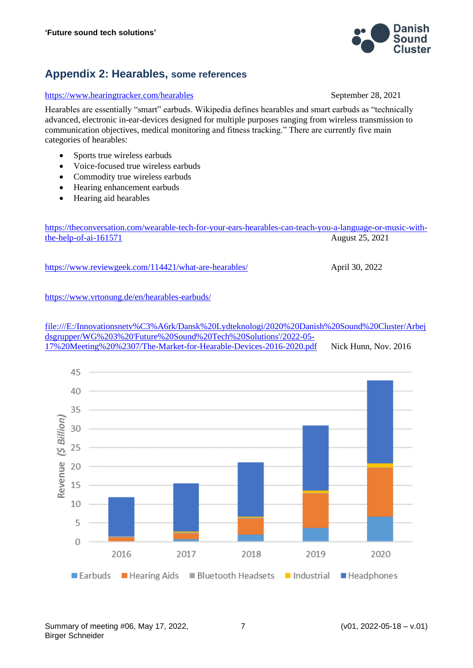<https://www.reviewgeek.com/114421/what-are-hearables/> April 30, 2022

<https://www.vrtonung.de/en/hearables-earbuds/>

[file:///E:/Innovationsnetv%C3%A6rk/Dansk%20Lydteknologi/2020%20Danish%20Sound%20Cluster/Arbej](file:///E:/InnovationsnetvÃ¦rk/Dansk%20Lydteknologi/2020%20Danish%20Sound%20Cluster/Arbejdsgrupper/WG%203%20) [dsgrupper/WG%203%20'Future%20Sound%20Tech%20Solutions'/2022-05-](file:///E:/InnovationsnetvÃ¦rk/Dansk%20Lydteknologi/2020%20Danish%20Sound%20Cluster/Arbejdsgrupper/WG%203%20) [17%20Meeting%20%2307/The-Market-for-Hearable-Devices-2016-2020.pdf](file:///E:/InnovationsnetvÃ¦rk/Dansk%20Lydteknologi/2020%20Danish%20Sound%20Cluster/Arbejdsgrupper/WG%203%20) Nick Hunn, Nov. 2016



#### **Appendix 2: Hearables, some references**

#### <https://www.hearingtracker.com/hearables> September 28, 2021

Hearables are essentially "smart" earbuds. Wikipedia defines hearables and smart earbuds as "technically advanced, electronic in-ear-devices designed for multiple purposes ranging from wireless transmission to communication objectives, medical monitoring and fitness tracking." There are currently five main categories of hearables:

- Sports true wireless earbuds
- Voice-focused true wireless earbuds
- Commodity true wireless earbuds
- Hearing enhancement earbuds
- Hearing aid hearables

[the-help-of-ai-161571](https://theconversation.com/wearable-tech-for-your-ears-hearables-can-teach-you-a-language-or-music-with-the-help-of-ai-161571) August 25, 2021